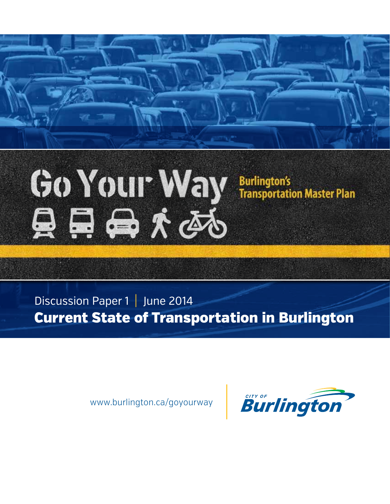

Discussion Paper 1 | June 2014 Current State of Transportation in Burlington

www.burlington.ca/goyourway

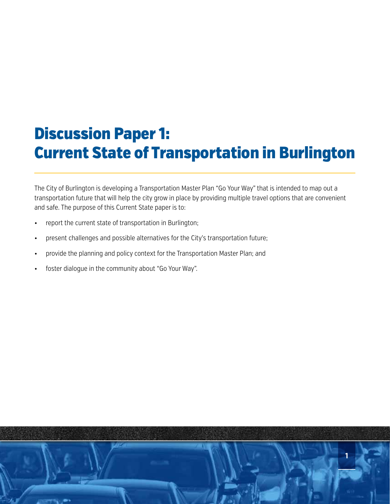# Discussion Paper 1: Current State of Transportation in Burlington

The City of Burlington is developing a Transportation Master Plan "Go Your Way" that is intended to map out a transportation future that will help the city grow in place by providing multiple travel options that are convenient and safe. The purpose of this Current State paper is to:

- report the current state of transportation in Burlington;
- present challenges and possible alternatives for the City's transportation future;
- provide the planning and policy context for the Transportation Master Plan; and
- foster dialogue in the community about "Go Your Way".

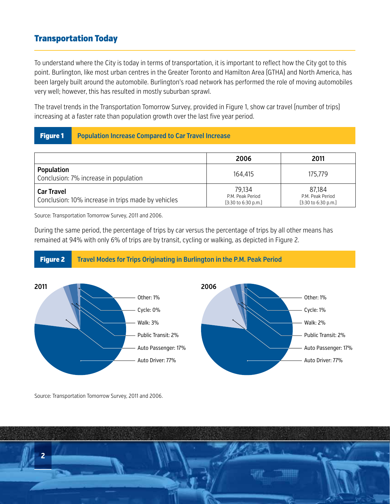## Transportation Today

To understand where the City is today in terms of transportation, it is important to reflect how the City got to this point. Burlington, like most urban centres in the Greater Toronto and Hamilton Area (GTHA) and North America, has been largely built around the automobile. Burlington's road network has performed the role of moving automobiles very well; however, this has resulted in mostly suburban sprawl.

The travel trends in the Transportation Tomorrow Survey, provided in Figure 1, show car travel (number of trips) increasing at a faster rate than population growth over the last five year period.

#### Figure 1 **Population Increase Compared to Car Travel Increase**

|                                                                         | 2006                                                                 | 2011                                                                 |
|-------------------------------------------------------------------------|----------------------------------------------------------------------|----------------------------------------------------------------------|
| Population<br>Conclusion: 7% increase in population                     | 164.415                                                              | 175.779                                                              |
| <b>Car Travel</b><br>Conclusion: 10% increase in trips made by vehicles | 79.134<br>P.M. Peak Period<br>$[3:30 \text{ to } 6:30 \text{ p.m.}]$ | 87,184<br>P.M. Peak Period<br>$[3:30 \text{ to } 6:30 \text{ p.m.}]$ |

Source: Transportation Tomorrow Survey, 2011 and 2006.

During the same period, the percentage of trips by car versus the percentage of trips by all other means has remained at 94% with only 6% of trips are by transit, cycling or walking, as depicted in Figure 2.

#### Figure 2 **Travel Modes for Trips Originating in Burlington in the P.M. Peak Period** Auto Passenger: 17% Public Transit: 2% Auto Driver: 77% Walk: 3% Other: 1% Cycle: 0% Auto Passenger: 17% Public Transit: 2% Auto Driver: 77% Walk: 2% Other: 1% Cycle: 1% **2011 2006**

Source: Transportation Tomorrow Survey, 2011 and 2006.

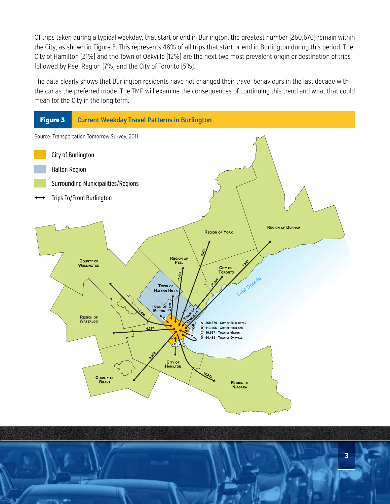Of trips taken during a typical weekday, that start or end in Burlington, the greatest number (260,670) remain within the City, as shown in Figure 3. This represents 48% of all trips that start or end in Burlington during this period. The City of Hamilton (21%) and the Town of Oakville (12%) are the next two most prevalent origin or destination of trips followed by Peel Region (7%) and the City of Toronto (5%).

The data clearly shows that Burlington residents have not changed their travel behaviours in the last decade with the car as the preferred mode. The TMP will examine the consequences of continuing this trend and what that could mean for the City in the long term.



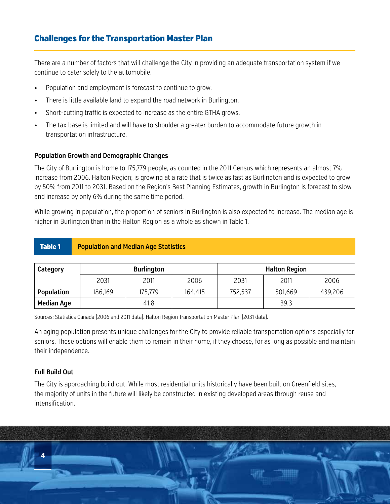## Challenges for the Transportation Master Plan

There are a number of factors that will challenge the City in providing an adequate transportation system if we continue to cater solely to the automobile.

- Population and employment is forecast to continue to grow.
- There is little available land to expand the road network in Burlington.
- Short-cutting traffic is expected to increase as the entire GTHA grows.
- The tax base is limited and will have to shoulder a greater burden to accommodate future growth in transportation infrastructure.

#### **Population Growth and Demographic Changes**

The City of Burlington is home to 175,779 people, as counted in the 2011 Census which represents an almost 7% increase from 2006. Halton Region; is growing at a rate that is twice as fast as Burlington and is expected to grow by 50% from 2011 to 2031. Based on the Region's Best Planning Estimates, growth in Burlington is forecast to slow and increase by only 6% during the same time period.

While growing in population, the proportion of seniors in Burlington is also expected to increase. The median age is higher in Burlington than in the Halton Region as a whole as shown in Table 1.

#### Table 1 **Population and Median Age Statistics**

| Category          | <b>Burlington</b> |         |         | <b>Halton Region</b> |         |         |
|-------------------|-------------------|---------|---------|----------------------|---------|---------|
|                   | 2031              | 2011    | 2006    | 2031                 | 2011    | 2006    |
| <b>Population</b> | 186,169           | 175,779 | 164,415 | 752,537              | 501,669 | 439,206 |
| <b>Median Age</b> |                   | 41.8    |         |                      | 39.3    |         |

Sources: Statistics Canada (2006 and 2011 data). Halton Region Transportation Master Plan (2031 data).

An aging population presents unique challenges for the City to provide reliable transportation options especially for seniors. These options will enable them to remain in their home, if they choose, for as long as possible and maintain their independence.

#### **Full Build Out**

The City is approaching build out. While most residential units historically have been built on Greenfield sites, the majority of units in the future will likely be constructed in existing developed areas through reuse and intensification.

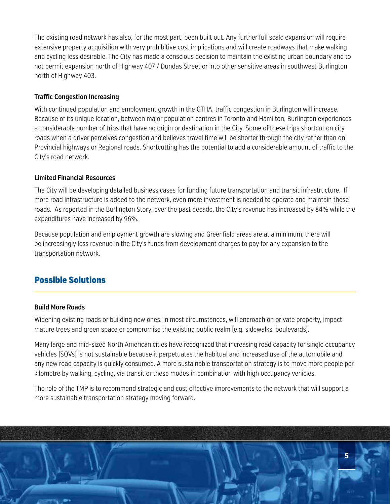The existing road network has also, for the most part, been built out. Any further full scale expansion will require extensive property acquisition with very prohibitive cost implications and will create roadways that make walking and cycling less desirable. The City has made a conscious decision to maintain the existing urban boundary and to not permit expansion north of Highway 407 / Dundas Street or into other sensitive areas in southwest Burlington north of Highway 403.

#### **Traffic Congestion Increasing**

With continued population and employment growth in the GTHA, traffic congestion in Burlington will increase. Because of its unique location, between major population centres in Toronto and Hamilton, Burlington experiences a considerable number of trips that have no origin or destination in the City. Some of these trips shortcut on city roads when a driver perceives congestion and believes travel time will be shorter through the city rather than on Provincial highways or Regional roads. Shortcutting has the potential to add a considerable amount of traffic to the City's road network.

#### **Limited Financial Resources**

The City will be developing detailed business cases for funding future transportation and transit infrastructure. If more road infrastructure is added to the network, even more investment is needed to operate and maintain these roads. As reported in the Burlington Story, over the past decade, the City's revenue has increased by 84% while the expenditures have increased by 96%.

Because population and employment growth are slowing and Greenfield areas are at a minimum, there will be increasingly less revenue in the City's funds from development charges to pay for any expansion to the transportation network.

## Possible Solutions

#### **Build More Roads**

Widening existing roads or building new ones, in most circumstances, will encroach on private property, impact mature trees and green space or compromise the existing public realm (e.g. sidewalks, boulevards).

Many large and mid-sized North American cities have recognized that increasing road capacity for single occupancy vehicles (SOVs) is not sustainable because it perpetuates the habitual and increased use of the automobile and any new road capacity is quickly consumed. A more sustainable transportation strategy is to move more people per kilometre by walking, cycling, via transit or these modes in combination with high occupancy vehicles.

The role of the TMP is to recommend strategic and cost effective improvements to the network that will support a more sustainable transportation strategy moving forward.

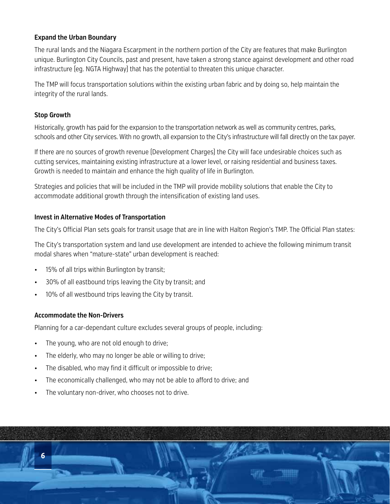#### **Expand the Urban Boundary**

The rural lands and the Niagara Escarpment in the northern portion of the City are features that make Burlington unique. Burlington City Councils, past and present, have taken a strong stance against development and other road infrastructure (eg. NGTA Highway) that has the potential to threaten this unique character.

The TMP will focus transportation solutions within the existing urban fabric and by doing so, help maintain the integrity of the rural lands.

#### **Stop Growth**

Historically, growth has paid for the expansion to the transportation network as well as community centres, parks, schools and other City services. With no growth, all expansion to the City's infrastructure will fall directly on the tax payer.

If there are no sources of growth revenue (Development Charges) the City will face undesirable choices such as cutting services, maintaining existing infrastructure at a lower level, or raising residential and business taxes. Growth is needed to maintain and enhance the high quality of life in Burlington.

Strategies and policies that will be included in the TMP will provide mobility solutions that enable the City to accommodate additional growth through the intensification of existing land uses.

#### **Invest in Alternative Modes of Transportation**

The City's Official Plan sets goals for transit usage that are in line with Halton Region's TMP. The Official Plan states:

The City's transportation system and land use development are intended to achieve the following minimum transit modal shares when "mature-state" urban development is reached:

- 15% of all trips within Burlington by transit;
- 30% of all eastbound trips leaving the City by transit; and
- 10% of all westbound trips leaving the City by transit.

#### **Accommodate the Non-Drivers**

Planning for a car-dependant culture excludes several groups of people, including:

- The young, who are not old enough to drive;
- The elderly, who may no longer be able or willing to drive;
- The disabled, who may find it difficult or impossible to drive;
- The economically challenged, who may not be able to afford to drive; and
- The voluntary non-driver, who chooses not to drive.

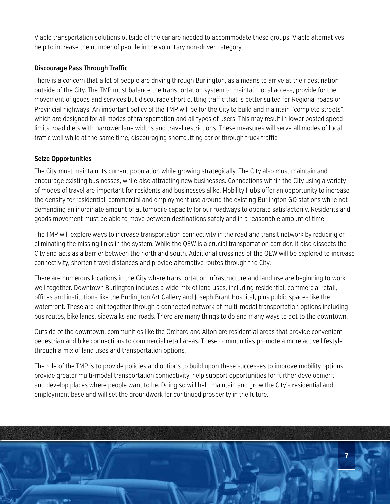Viable transportation solutions outside of the car are needed to accommodate these groups. Viable alternatives help to increase the number of people in the voluntary non-driver category.

#### **Discourage Pass Through Traffic**

There is a concern that a lot of people are driving through Burlington, as a means to arrive at their destination outside of the City. The TMP must balance the transportation system to maintain local access, provide for the movement of goods and services but discourage short cutting traffic that is better suited for Regional roads or Provincial highways. An important policy of the TMP will be for the City to build and maintain "complete streets", which are designed for all modes of transportation and all types of users. This may result in lower posted speed limits, road diets with narrower lane widths and travel restrictions. These measures will serve all modes of local traffic well while at the same time, discouraging shortcutting car or through truck traffic.

#### **Seize Opportunities**

The City must maintain its current population while growing strategically. The City also must maintain and encourage existing businesses, while also attracting new businesses. Connections within the City using a variety of modes of travel are important for residents and businesses alike. Mobility Hubs offer an opportunity to increase the density for residential, commercial and employment use around the existing Burlington GO stations while not demanding an inordinate amount of automobile capacity for our roadways to operate satisfactorily. Residents and goods movement must be able to move between destinations safely and in a reasonable amount of time.

The TMP will explore ways to increase transportation connectivity in the road and transit network by reducing or eliminating the missing links in the system. While the QEW is a crucial transportation corridor, it also dissects the City and acts as a barrier between the north and south. Additional crossings of the QEW will be explored to increase connectivity, shorten travel distances and provide alternative routes through the City.

There are numerous locations in the City where transportation infrastructure and land use are beginning to work well together. Downtown Burlington includes a wide mix of land uses, including residential, commercial retail, offices and institutions like the Burlington Art Gallery and Joseph Brant Hospital, plus public spaces like the waterfront. These are knit together through a connected network of multi-modal transportation options including bus routes, bike lanes, sidewalks and roads. There are many things to do and many ways to get to the downtown.

Outside of the downtown, communities like the Orchard and Alton are residential areas that provide convenient pedestrian and bike connections to commercial retail areas. These communities promote a more active lifestyle through a mix of land uses and transportation options.

The role of the TMP is to provide policies and options to build upon these successes to improve mobility options, provide greater multi-modal transportation connectivity, help support opportunities for further development and develop places where people want to be. Doing so will help maintain and grow the City's residential and employment base and will set the groundwork for continued prosperity in the future.

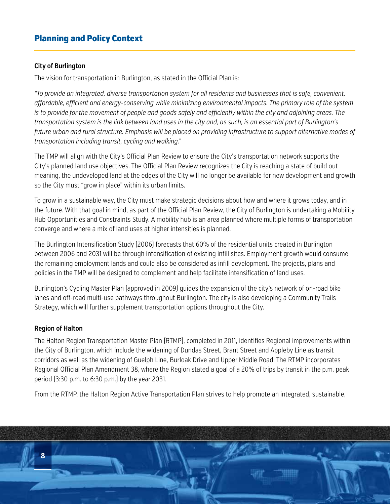## Planning and Policy Context

#### **City of Burlington**

The vision for transportation in Burlington, as stated in the Official Plan is:

*"To provide an integrated, diverse transportation system for all residents and businesses that is safe, convenient, affordable, efficient and energy-conserving while minimizing environmental impacts. The primary role of the system*  is to provide for the movement of people and goods safely and efficiently within the city and adjoining areas. The *transportation system is the link between land uses in the city and, as such, is an essential part of Burlington's future urban and rural structure. Emphasis will be placed on providing infrastructure to support alternative modes of transportation including transit, cycling and walking."*

The TMP will align with the City's Official Plan Review to ensure the City's transportation network supports the City's planned land use objectives. The Official Plan Review recognizes the City is reaching a state of build out meaning, the undeveloped land at the edges of the City will no longer be available for new development and growth so the City must "grow in place" within its urban limits.

To grow in a sustainable way, the City must make strategic decisions about how and where it grows today, and in the future. With that goal in mind, as part of the Official Plan Review, the City of Burlington is undertaking a Mobility Hub Opportunities and Constraints Study. A mobility hub is an area planned where multiple forms of transportation converge and where a mix of land uses at higher intensities is planned.

The Burlington Intensification Study (2006) forecasts that 60% of the residential units created in Burlington between 2006 and 2031 will be through intensification of existing infill sites. Employment growth would consume the remaining employment lands and could also be considered as infill development. The projects, plans and policies in the TMP will be designed to complement and help facilitate intensification of land uses.

Burlington's Cycling Master Plan (approved in 2009) guides the expansion of the city's network of on-road bike lanes and off-road multi-use pathways throughout Burlington. The city is also developing a Community Trails Strategy, which will further supplement transportation options throughout the City.

#### **Region of Halton**

The Halton Region Transportation Master Plan (RTMP), completed in 2011, identifies Regional improvements within the City of Burlington, which include the widening of Dundas Street, Brant Street and Appleby Line as transit corridors as well as the widening of Guelph Line, Burloak Drive and Upper Middle Road. The RTMP incorporates Regional Official Plan Amendment 38, where the Region stated a goal of a 20% of trips by transit in the p.m. peak period (3:30 p.m. to 6:30 p.m.) by the year 2031.

From the RTMP, the Halton Region Active Transportation Plan strives to help promote an integrated, sustainable,

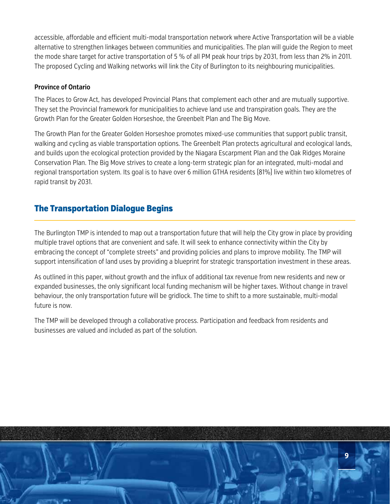accessible, affordable and efficient multi-modal transportation network where Active Transportation will be a viable alternative to strengthen linkages between communities and municipalities. The plan will guide the Region to meet the mode share target for active transportation of 5 % of all PM peak hour trips by 2031, from less than 2% in 2011. The proposed Cycling and Walking networks will link the City of Burlington to its neighbouring municipalities.

#### **Province of Ontario**

The Places to Grow Act, has developed Provincial Plans that complement each other and are mutually supportive. They set the Provincial framework for municipalities to achieve land use and transpiration goals. They are the Growth Plan for the Greater Golden Horseshoe, the Greenbelt Plan and The Big Move.

The Growth Plan for the Greater Golden Horseshoe promotes mixed-use communities that support public transit, walking and cycling as viable transportation options. The Greenbelt Plan protects agricultural and ecological lands, and builds upon the ecological protection provided by the Niagara Escarpment Plan and the Oak Ridges Moraine Conservation Plan. The Big Move strives to create a long-term strategic plan for an integrated, multi-modal and regional transportation system. Its goal is to have over 6 million GTHA residents (81%) live within two kilometres of rapid transit by 2031.

### The Transportation Dialogue Begins

The Burlington TMP is intended to map out a transportation future that will help the City grow in place by providing multiple travel options that are convenient and safe. It will seek to enhance connectivity within the City by embracing the concept of "complete streets" and providing policies and plans to improve mobility. The TMP will support intensification of land uses by providing a blueprint for strategic transportation investment in these areas.

As outlined in this paper, without growth and the influx of additional tax revenue from new residents and new or expanded businesses, the only significant local funding mechanism will be higher taxes. Without change in travel behaviour, the only transportation future will be gridlock. The time to shift to a more sustainable, multi-modal future is now.

The TMP will be developed through a collaborative process. Participation and feedback from residents and businesses are valued and included as part of the solution.